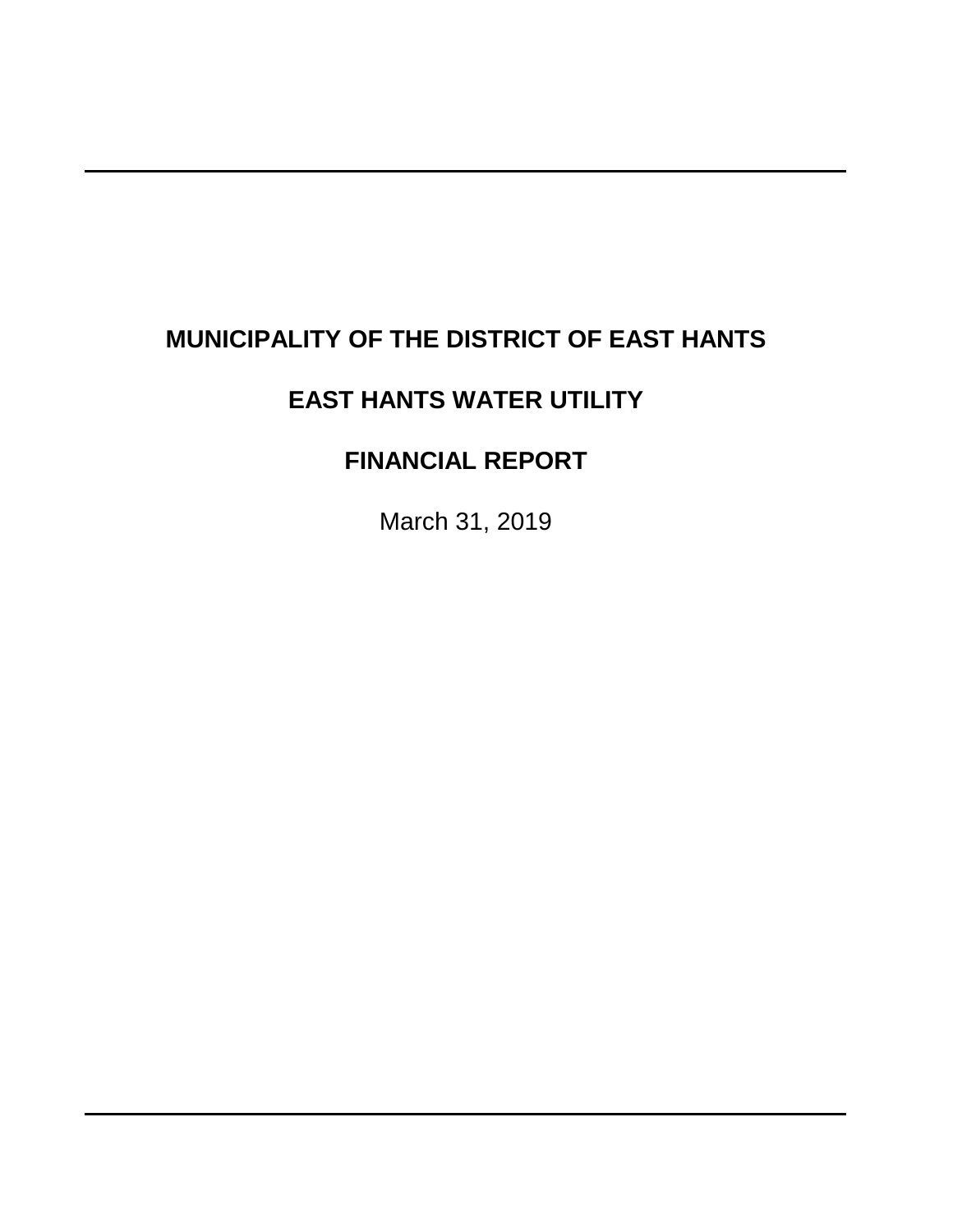# **MUNICIPALITY OF THE DISTRICT OF EAST HANTS**

# **EAST HANTS WATER UTILITY**

# **FINANCIAL REPORT**

March 31, 2019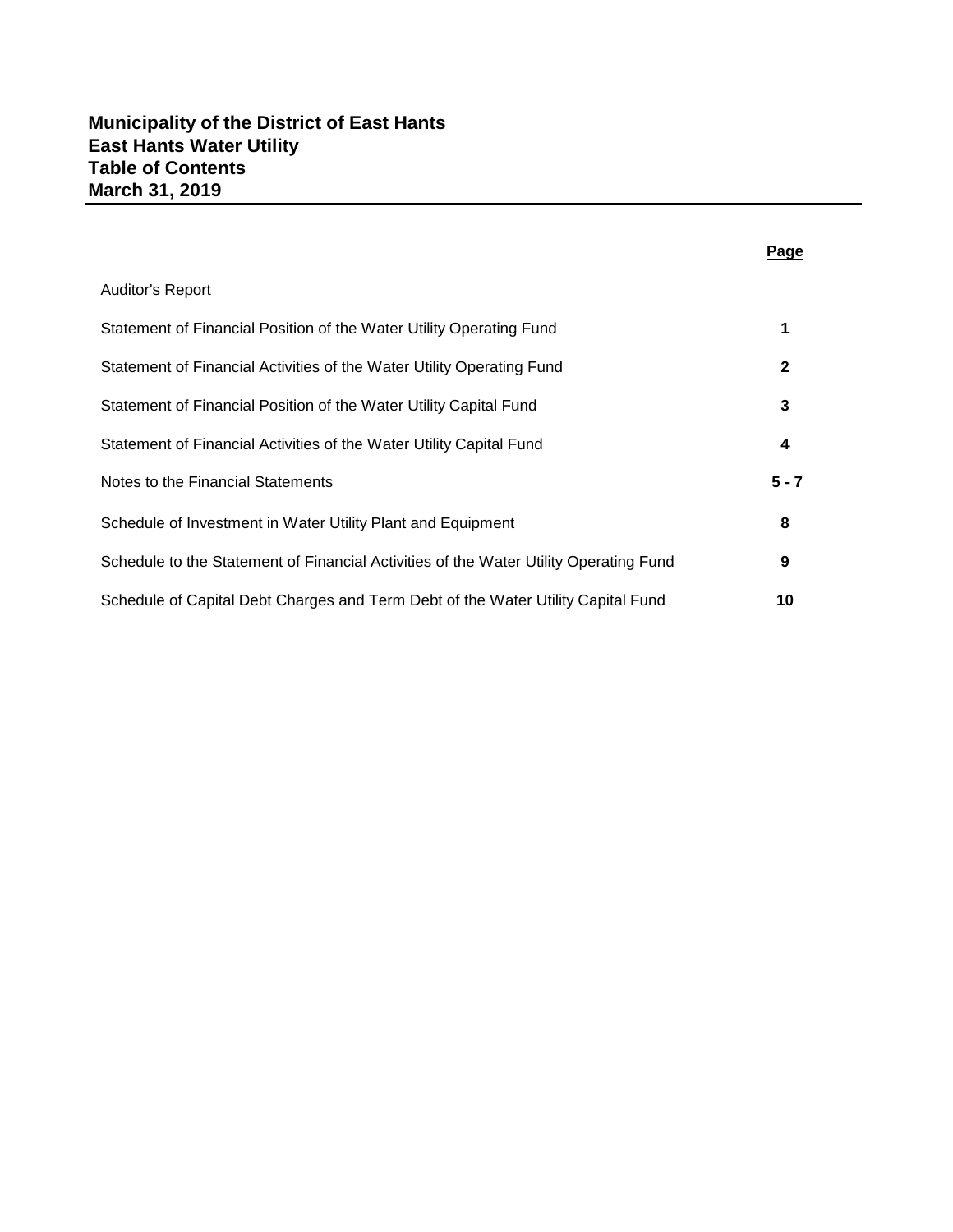|                                                                                       | Page         |
|---------------------------------------------------------------------------------------|--------------|
| Auditor's Report                                                                      |              |
| Statement of Financial Position of the Water Utility Operating Fund                   | 1            |
| Statement of Financial Activities of the Water Utility Operating Fund                 | $\mathbf{2}$ |
| Statement of Financial Position of the Water Utility Capital Fund                     | 3            |
| Statement of Financial Activities of the Water Utility Capital Fund                   | 4            |
| Notes to the Financial Statements                                                     | $5 - 7$      |
| Schedule of Investment in Water Utility Plant and Equipment                           | 8            |
| Schedule to the Statement of Financial Activities of the Water Utility Operating Fund | 9            |
| Schedule of Capital Debt Charges and Term Debt of the Water Utility Capital Fund      | 10           |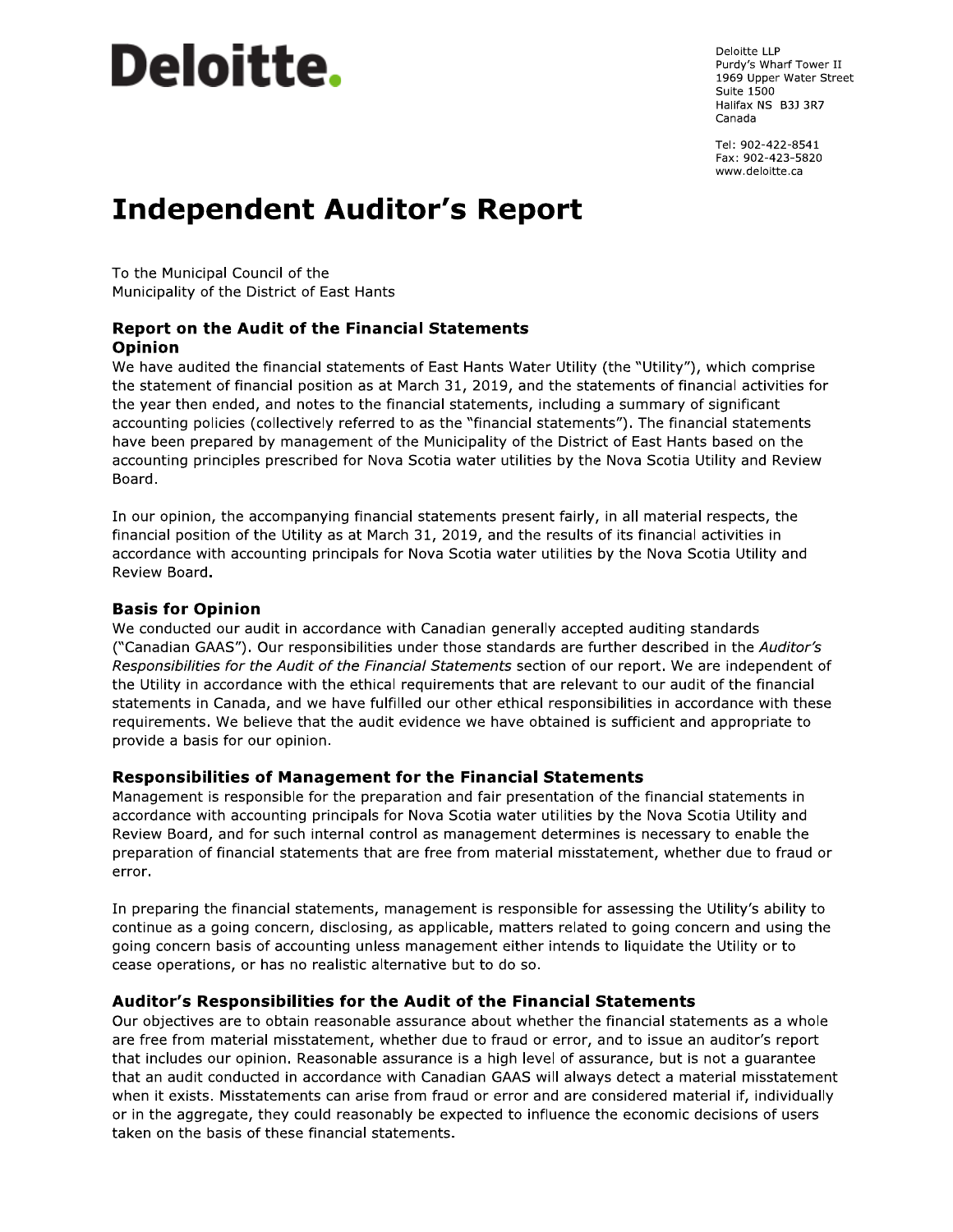# **Deloitte.**

Deloitte LLP Purdy's Wharf Tower II 1969 Upper Water Street **Suite 1500** Halifax NS B3J 3R7 Canada

Tel: 902-422-8541 Fax: 902-423-5820 www.deloitte.ca

# **Independent Auditor's Report**

To the Municipal Council of the Municipality of the District of East Hants

#### **Report on the Audit of the Financial Statements Opinion**

We have audited the financial statements of East Hants Water Utility (the "Utility"), which comprise the statement of financial position as at March 31, 2019, and the statements of financial activities for the year then ended, and notes to the financial statements, including a summary of significant accounting policies (collectively referred to as the "financial statements"). The financial statements have been prepared by management of the Municipality of the District of East Hants based on the accounting principles prescribed for Nova Scotia water utilities by the Nova Scotia Utility and Review Board.

In our opinion, the accompanying financial statements present fairly, in all material respects, the financial position of the Utility as at March 31, 2019, and the results of its financial activities in accordance with accounting principals for Nova Scotia water utilities by the Nova Scotia Utility and Review Board.

#### **Basis for Opinion**

We conducted our audit in accordance with Canadian generally accepted auditing standards ("Canadian GAAS"). Our responsibilities under those standards are further described in the Auditor's Responsibilities for the Audit of the Financial Statements section of our report. We are independent of the Utility in accordance with the ethical requirements that are relevant to our audit of the financial statements in Canada, and we have fulfilled our other ethical responsibilities in accordance with these requirements. We believe that the audit evidence we have obtained is sufficient and appropriate to provide a basis for our opinion.

#### **Responsibilities of Management for the Financial Statements**

Management is responsible for the preparation and fair presentation of the financial statements in accordance with accounting principals for Nova Scotia water utilities by the Nova Scotia Utility and Review Board, and for such internal control as management determines is necessary to enable the preparation of financial statements that are free from material misstatement, whether due to fraud or error.

In preparing the financial statements, management is responsible for assessing the Utility's ability to continue as a going concern, disclosing, as applicable, matters related to going concern and using the going concern basis of accounting unless management either intends to liquidate the Utility or to cease operations, or has no realistic alternative but to do so.

#### Auditor's Responsibilities for the Audit of the Financial Statements

Our objectives are to obtain reasonable assurance about whether the financial statements as a whole are free from material misstatement, whether due to fraud or error, and to issue an auditor's report that includes our opinion. Reasonable assurance is a high level of assurance, but is not a guarantee that an audit conducted in accordance with Canadian GAAS will always detect a material misstatement when it exists. Misstatements can arise from fraud or error and are considered material if, individually or in the aggregate, they could reasonably be expected to influence the economic decisions of users taken on the basis of these financial statements.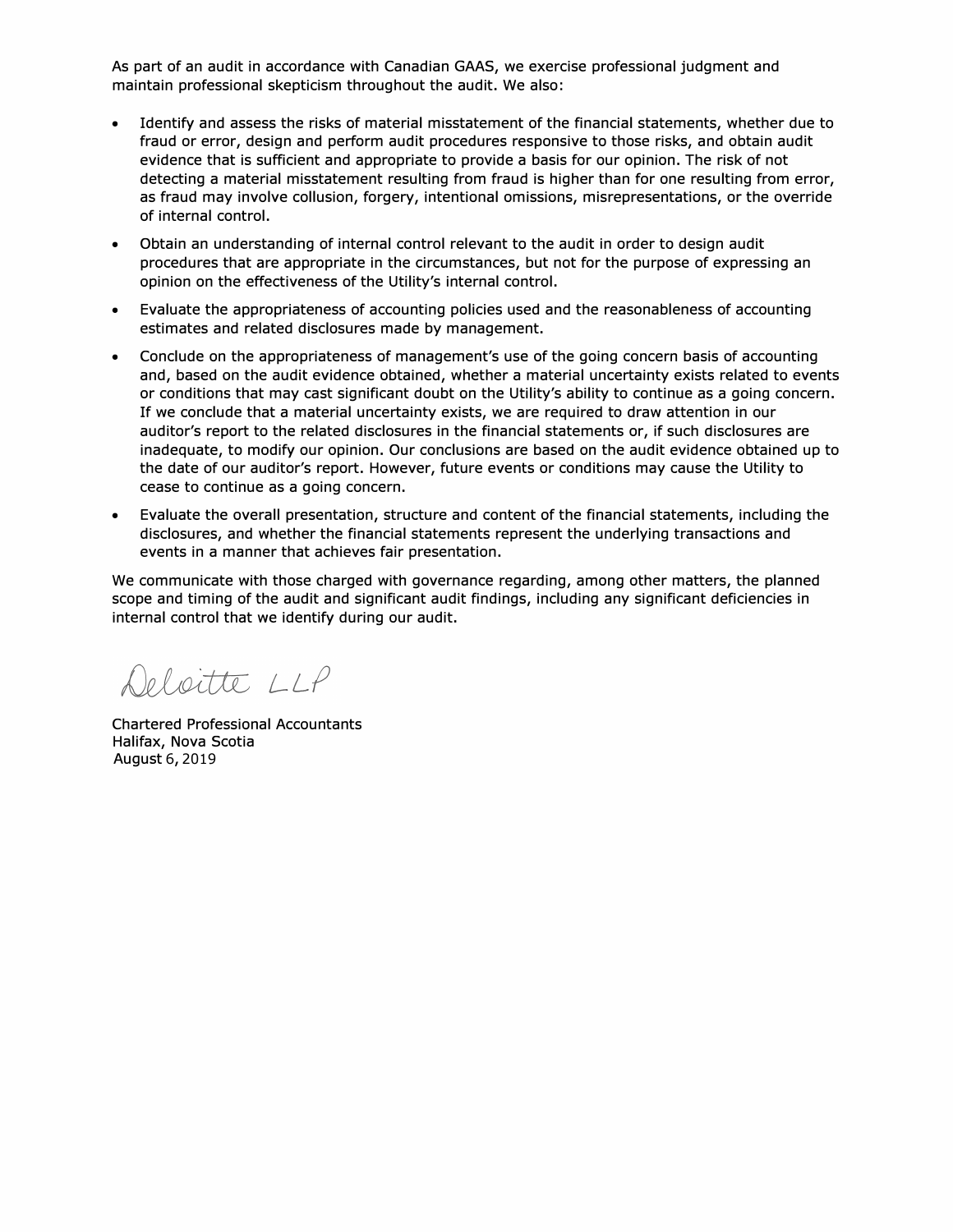As part of an audit in accordance with Canadian GAAS, we exercise professional judgment and maintain professional skepticism throughout the audit. We also:

- Identify and assess the risks of material misstatement of the financial statements, whether due to fraud or error, design and perform audit procedures responsive to those risks, and obtain audit evidence that is sufficient and appropriate to provide a basis for our opinion. The risk of not detecting a material misstatement resulting from fraud is higher than for one resulting from error, as fraud may involve collusion, forgery, intentional omissions, misrepresentations, or the override of internal control.
- Obtain an understanding of internal control relevant to the audit in order to design audit procedures that are appropriate in the circumstances, but not for the purpose of expressing an opinion on the effectiveness of the Utility's internal control.
- Evaluate the appropriateness of accounting policies used and the reasonableness of accounting estimates and related disclosures made by management.
- Conclude on the appropriateness of management's use of the going concern basis of accounting and, based on the audit evidence obtained, whether a material uncertainty exists related to events or conditions that may cast significant doubt on the Utility's ability to continue as a going concern. If we conclude that a material uncertainty exists, we are required to draw attention in our auditor's report to the related disclosures in the financial statements or, if such disclosures are inadequate, to modify our opinion. Our conclusions are based on the audit evidence obtained up to the date of our auditor's report. However, future events or conditions may cause the Utility to cease to continue as a going concern.
- Evaluate the overall presentation, structure and content of the financial statements, including the disclosures, and whether the financial statements represent the underlying transactions and events in a manner that achieves fair presentation.

We communicate with those charged with governance regarding, among other matters, the planned scope and timing of the audit and significant audit findings, including any significant deficiencies in internal control that we identify during our audit.

Deloitte LLP

Chartered Professional Accountants Halifax, Nova Scotia August 6, 2019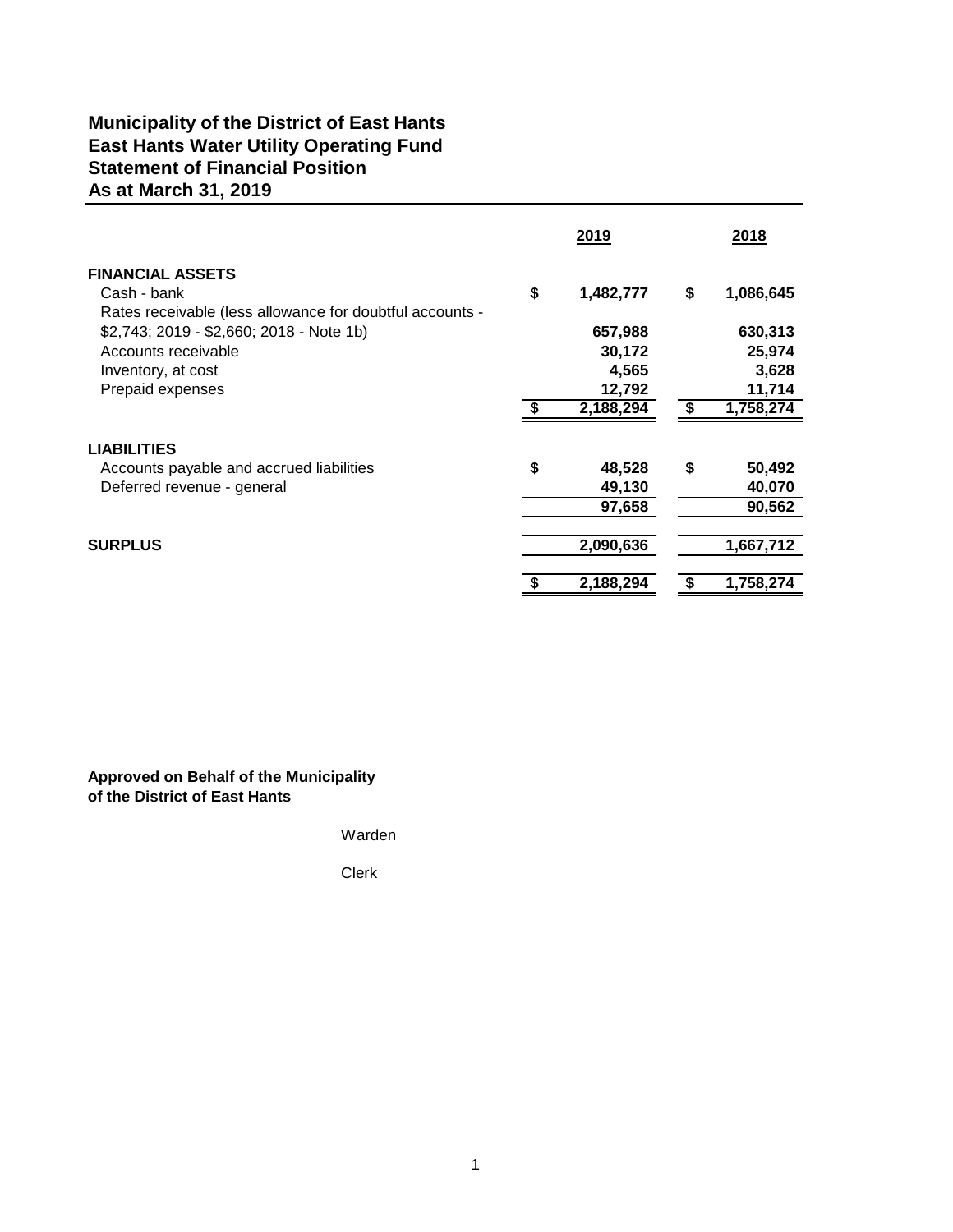# **Municipality of the District of East Hants East Hants Water Utility Operating Fund Statement of Financial Position As at March 31, 2019**

|                                                          | 2019 |           |    | 2018      |  |
|----------------------------------------------------------|------|-----------|----|-----------|--|
| <b>FINANCIAL ASSETS</b>                                  |      |           |    |           |  |
| Cash - bank                                              | \$   | 1,482,777 | \$ | 1,086,645 |  |
| Rates receivable (less allowance for doubtful accounts - |      |           |    |           |  |
| \$2,743; 2019 - \$2,660; 2018 - Note 1b)                 |      | 657,988   |    | 630,313   |  |
| Accounts receivable                                      |      | 30,172    |    | 25,974    |  |
| Inventory, at cost                                       |      | 4,565     |    | 3,628     |  |
| Prepaid expenses                                         |      | 12,792    |    | 11,714    |  |
|                                                          |      | 2,188,294 |    | 1,758,274 |  |
| <b>LIABILITIES</b>                                       |      |           |    |           |  |
| Accounts payable and accrued liabilities                 | \$   | 48,528    | \$ | 50,492    |  |
| Deferred revenue - general                               |      | 49,130    |    | 40,070    |  |
|                                                          |      | 97,658    |    | 90,562    |  |
| <b>SURPLUS</b>                                           |      | 2,090,636 |    | 1,667,712 |  |
|                                                          |      |           |    |           |  |
|                                                          |      | 2,188,294 |    | 1,758,274 |  |
|                                                          |      |           |    |           |  |

**Approved on Behalf of the Municipality of the District of East Hants**

Warden

Clerk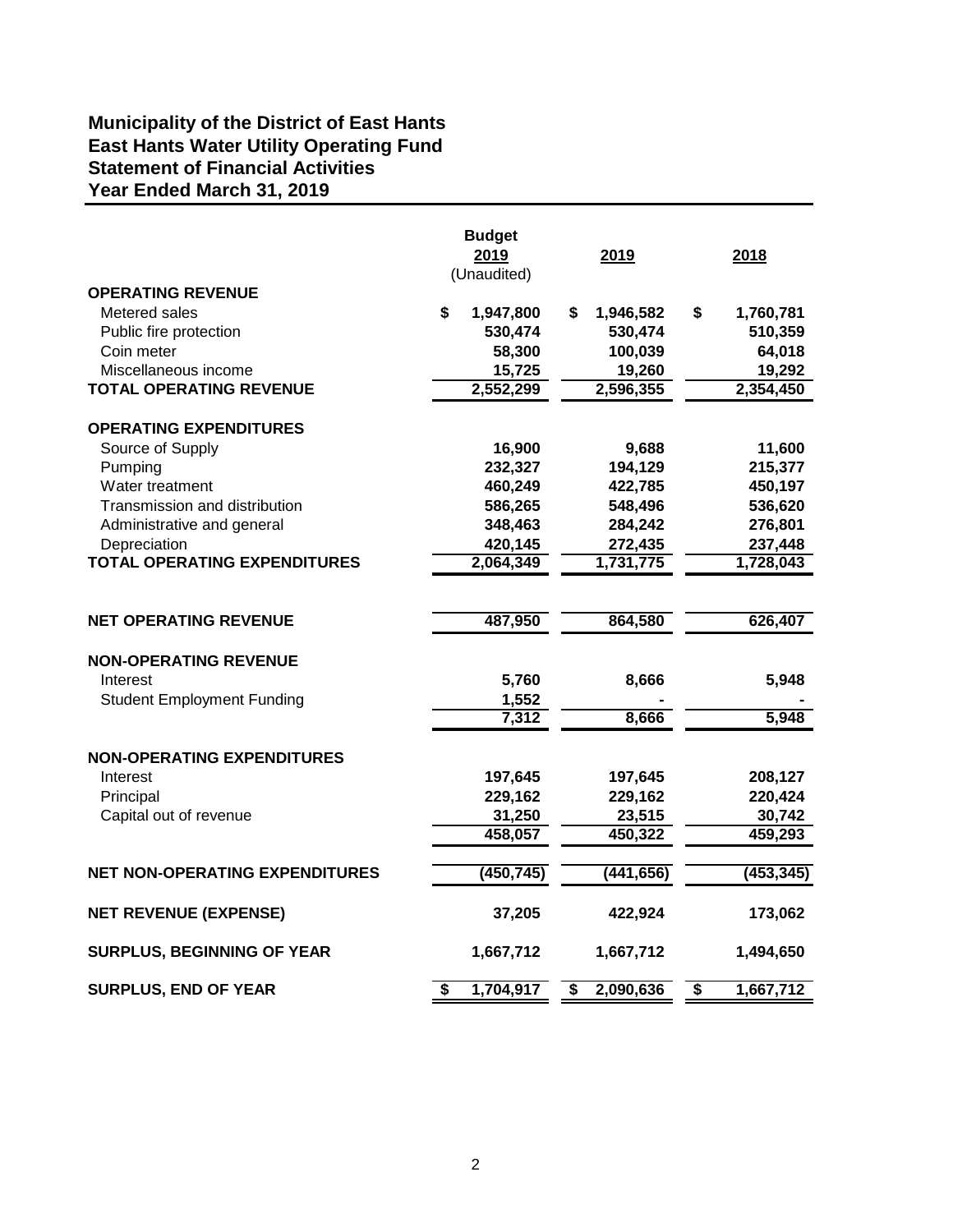# **Municipality of the District of East Hants East Hants Water Utility Operating Fund Year Ended March 31, 2019 Statement of Financial Activities**

|                                       |    | <b>Budget</b> |                                      |            |                 |
|---------------------------------------|----|---------------|--------------------------------------|------------|-----------------|
|                                       |    | 2019          |                                      | 2019       | 2018            |
|                                       |    | (Unaudited)   |                                      |            |                 |
| <b>OPERATING REVENUE</b>              |    |               |                                      |            |                 |
| Metered sales                         | S  | 1,947,800     | \$                                   | 1,946,582  | \$<br>1,760,781 |
| Public fire protection                |    | 530,474       |                                      | 530,474    | 510,359         |
| Coin meter                            |    | 58,300        |                                      | 100,039    | 64,018          |
| Miscellaneous income                  |    | 15,725        |                                      | 19,260     | 19,292          |
| <b>TOTAL OPERATING REVENUE</b>        |    | 2,552,299     |                                      | 2,596,355  | 2,354,450       |
| <b>OPERATING EXPENDITURES</b>         |    |               |                                      |            |                 |
| Source of Supply                      |    | 16,900        |                                      | 9,688      | 11,600          |
| Pumping                               |    | 232,327       |                                      | 194,129    | 215,377         |
| Water treatment                       |    | 460,249       |                                      | 422,785    | 450,197         |
| Transmission and distribution         |    | 586,265       |                                      | 548,496    | 536,620         |
| Administrative and general            |    | 348,463       |                                      | 284,242    | 276,801         |
| Depreciation                          |    | 420,145       |                                      | 272,435    | 237,448         |
| <b>TOTAL OPERATING EXPENDITURES</b>   |    | 2,064,349     |                                      | 1,731,775  | 1,728,043       |
|                                       |    |               |                                      |            |                 |
| <b>NET OPERATING REVENUE</b>          |    | 487,950       |                                      | 864,580    | 626,407         |
| <b>NON-OPERATING REVENUE</b>          |    |               |                                      |            |                 |
| Interest                              |    | 5,760         |                                      | 8,666      | 5,948           |
| <b>Student Employment Funding</b>     |    | 1,552         |                                      |            |                 |
|                                       |    | 7,312         |                                      | 8,666      | 5,948           |
| <b>NON-OPERATING EXPENDITURES</b>     |    |               |                                      |            |                 |
| Interest                              |    | 197,645       |                                      | 197,645    | 208,127         |
| Principal                             |    | 229,162       |                                      | 229,162    | 220,424         |
| Capital out of revenue                |    | 31,250        |                                      | 23,515     | 30,742          |
|                                       |    | 458,057       |                                      | 450,322    | 459,293         |
| <b>NET NON-OPERATING EXPENDITURES</b> |    | (450, 745)    |                                      | (441, 656) | (453, 345)      |
|                                       |    |               |                                      |            |                 |
| <b>NET REVENUE (EXPENSE)</b>          |    | 37,205        |                                      | 422,924    | 173,062         |
| <b>SURPLUS, BEGINNING OF YEAR</b>     |    | 1,667,712     |                                      | 1,667,712  | 1,494,650       |
| <b>SURPLUS, END OF YEAR</b>           | \$ | 1,704,917     | $\overline{\boldsymbol{\mathsf{s}}}$ | 2,090,636  | \$<br>1,667,712 |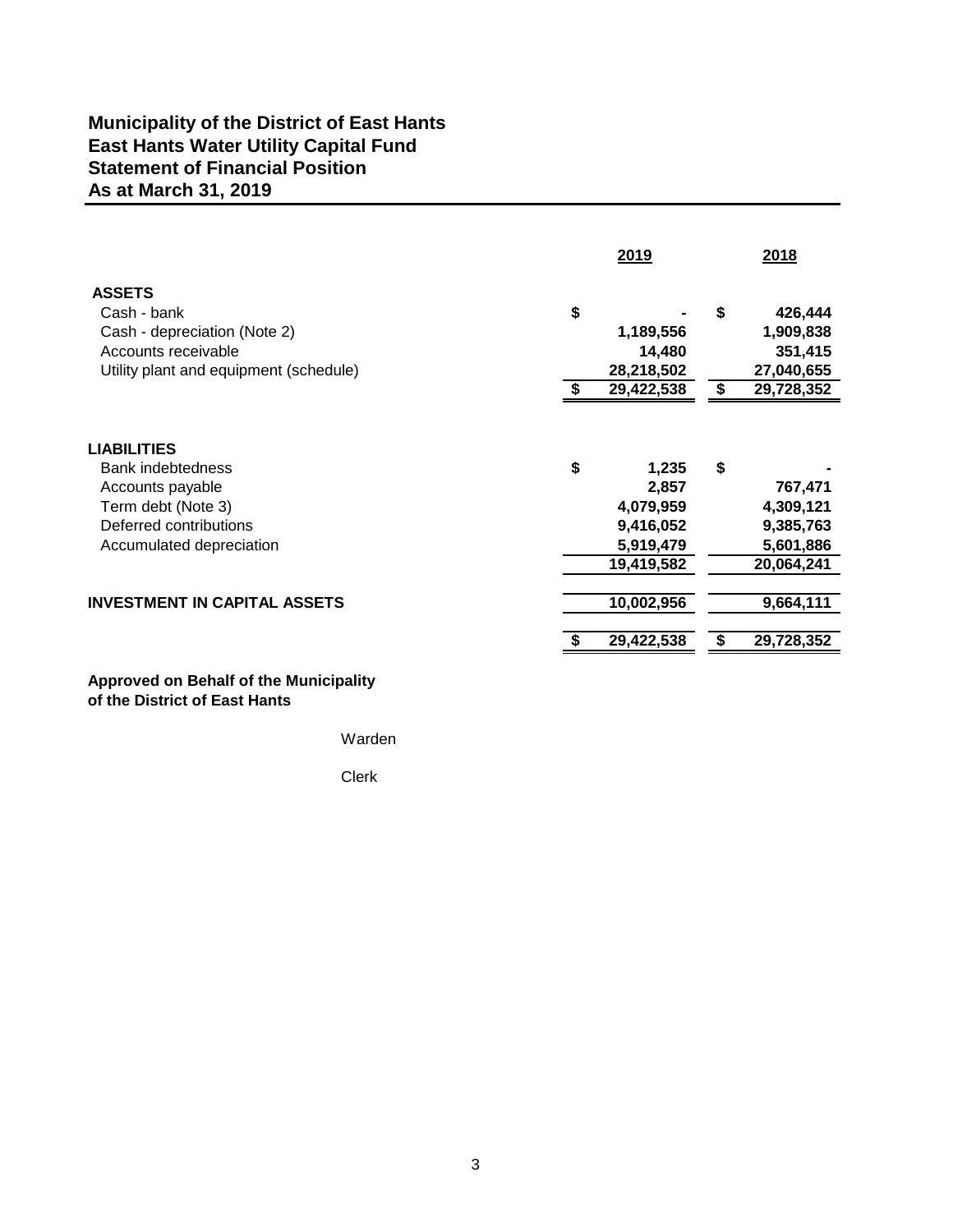# **Municipality of the District of East Hants East Hants Water Utility Capital Fund As at March 31, 2019 Statement of Financial Position**

|                                                                                                                               | 2019 |                                                 |         | 2018                                                        |  |
|-------------------------------------------------------------------------------------------------------------------------------|------|-------------------------------------------------|---------|-------------------------------------------------------------|--|
| <b>ASSETS</b><br>Cash - bank<br>Cash - depreciation (Note 2)<br>Accounts receivable<br>Utility plant and equipment (schedule) | \$   | 1,189,556<br>14,480<br>28,218,502<br>29,422,538 | \$<br>S | 426,444<br>1,909,838<br>351,415<br>27,040,655<br>29,728,352 |  |
| <b>LIABILITIES</b><br><b>Bank indebtedness</b>                                                                                | \$   | 1,235                                           | \$      |                                                             |  |
| Accounts payable                                                                                                              |      | 2,857                                           |         | 767,471                                                     |  |
| Term debt (Note 3)                                                                                                            |      | 4,079,959                                       |         | 4,309,121                                                   |  |
| Deferred contributions                                                                                                        |      | 9,416,052                                       |         | 9,385,763                                                   |  |
| Accumulated depreciation                                                                                                      |      | 5,919,479                                       |         | 5,601,886                                                   |  |
|                                                                                                                               |      | 19,419,582                                      |         | 20,064,241                                                  |  |
| <b>INVESTMENT IN CAPITAL ASSETS</b>                                                                                           |      | 10,002,956                                      |         | 9,664,111                                                   |  |
|                                                                                                                               |      | 29,422,538                                      |         | 29,728,352                                                  |  |
|                                                                                                                               |      |                                                 |         |                                                             |  |

#### **Approved on Behalf of the Municipality of the District of East Hants**

Warden

Clerk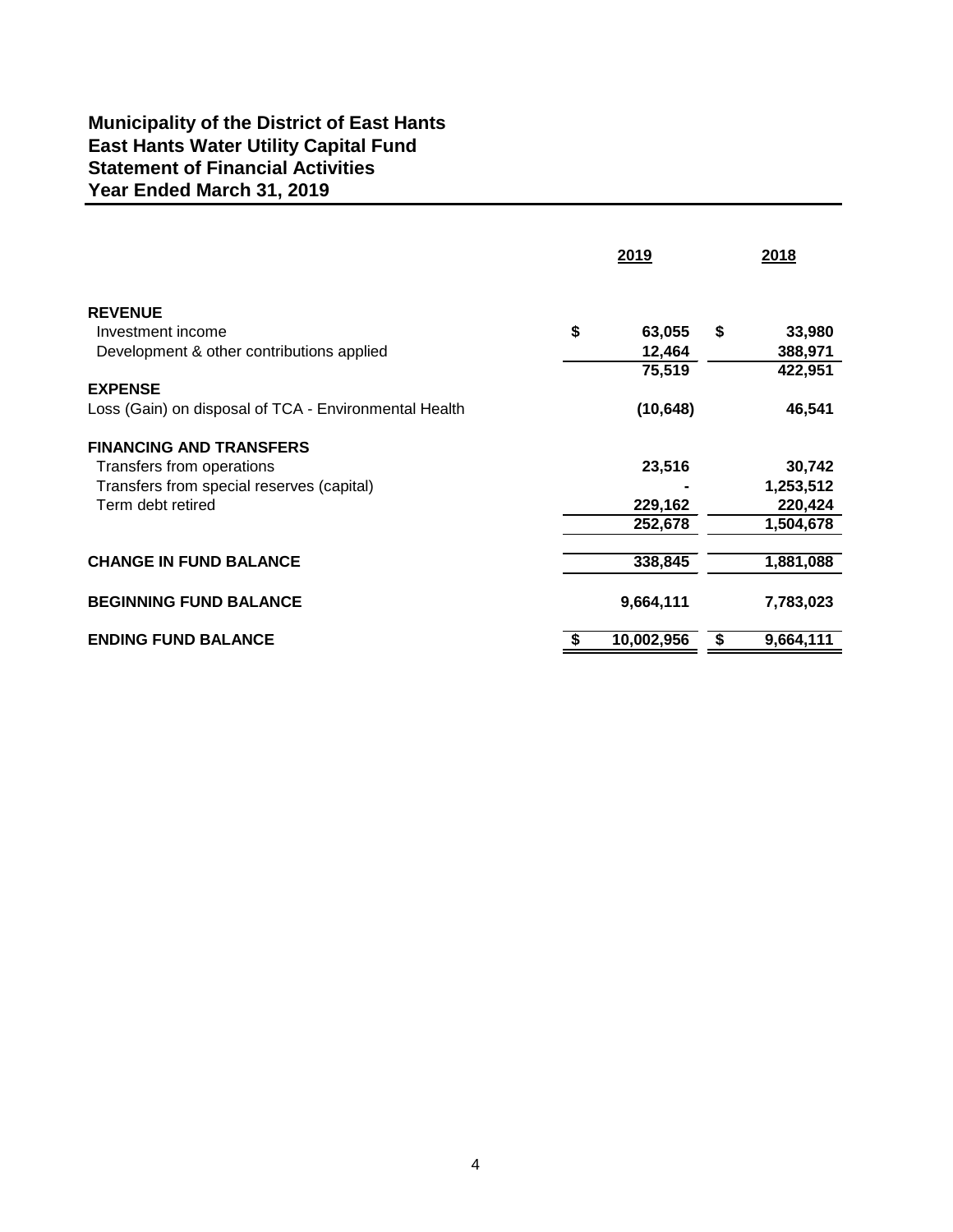# **Municipality of the District of East Hants East Hants Water Utility Capital Fund Year Ended March 31, 2019 Statement of Financial Activities**

|                                                       | 2019             | 2018            |  |
|-------------------------------------------------------|------------------|-----------------|--|
| <b>REVENUE</b>                                        |                  |                 |  |
| Investment income                                     | \$<br>63,055     | \$<br>33,980    |  |
| Development & other contributions applied             | 12,464           | 388,971         |  |
|                                                       | 75,519           | 422,951         |  |
| <b>EXPENSE</b>                                        |                  |                 |  |
| Loss (Gain) on disposal of TCA - Environmental Health | (10, 648)        | 46,541          |  |
| <b>FINANCING AND TRANSFERS</b>                        |                  |                 |  |
| Transfers from operations                             | 23,516           | 30,742          |  |
| Transfers from special reserves (capital)             |                  | 1,253,512       |  |
| Term debt retired                                     | 229,162          | 220,424         |  |
|                                                       | 252,678          | 1,504,678       |  |
| <b>CHANGE IN FUND BALANCE</b>                         | 338,845          | 1,881,088       |  |
|                                                       |                  |                 |  |
| <b>BEGINNING FUND BALANCE</b>                         | 9,664,111        | 7,783,023       |  |
| <b>ENDING FUND BALANCE</b>                            | \$<br>10,002,956 | \$<br>9,664,111 |  |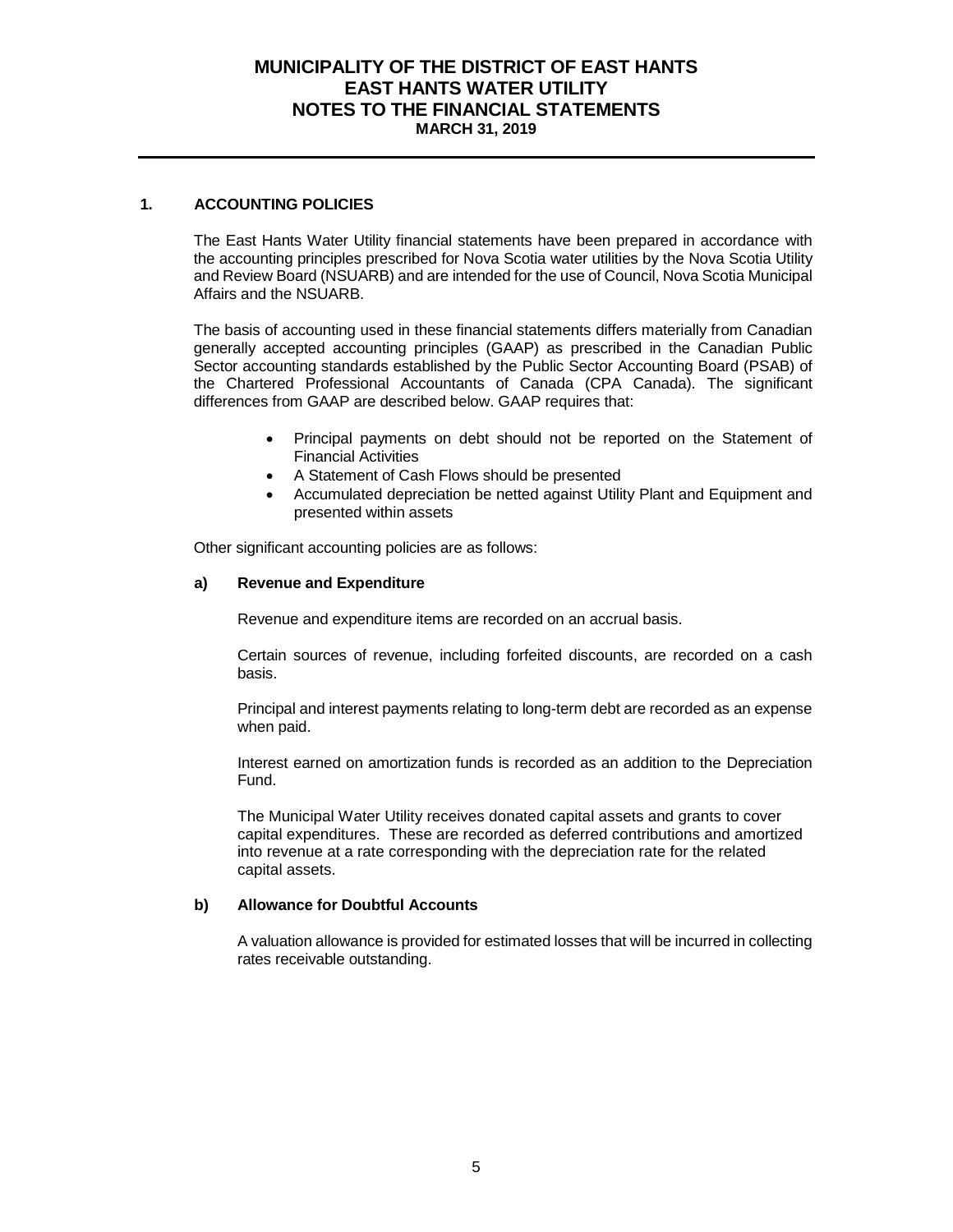#### **MUNICIPALITY OF THE DISTRICT OF EAST HANTS EAST HANTS WATER UTILITY NOTES TO THE FINANCIAL STATEMENTS MARCH 31, 2019**

#### **1. ACCOUNTING POLICIES**

The East Hants Water Utility financial statements have been prepared in accordance with the accounting principles prescribed for Nova Scotia water utilities by the Nova Scotia Utility and Review Board (NSUARB) and are intended for the use of Council, Nova Scotia Municipal Affairs and the NSUARB.

The basis of accounting used in these financial statements differs materially from Canadian generally accepted accounting principles (GAAP) as prescribed in the Canadian Public Sector accounting standards established by the Public Sector Accounting Board (PSAB) of the Chartered Professional Accountants of Canada (CPA Canada). The significant differences from GAAP are described below. GAAP requires that:

- Principal payments on debt should not be reported on the Statement of Financial Activities
- A Statement of Cash Flows should be presented
- Accumulated depreciation be netted against Utility Plant and Equipment and presented within assets

Other significant accounting policies are as follows:

#### **a) Revenue and Expenditure**

Revenue and expenditure items are recorded on an accrual basis.

Certain sources of revenue, including forfeited discounts, are recorded on a cash basis.

Principal and interest payments relating to long-term debt are recorded as an expense when paid.

Interest earned on amortization funds is recorded as an addition to the Depreciation Fund.

The Municipal Water Utility receives donated capital assets and grants to cover capital expenditures. These are recorded as deferred contributions and amortized into revenue at a rate corresponding with the depreciation rate for the related capital assets.

#### **b) Allowance for Doubtful Accounts**

A valuation allowance is provided for estimated losses that will be incurred in collecting rates receivable outstanding.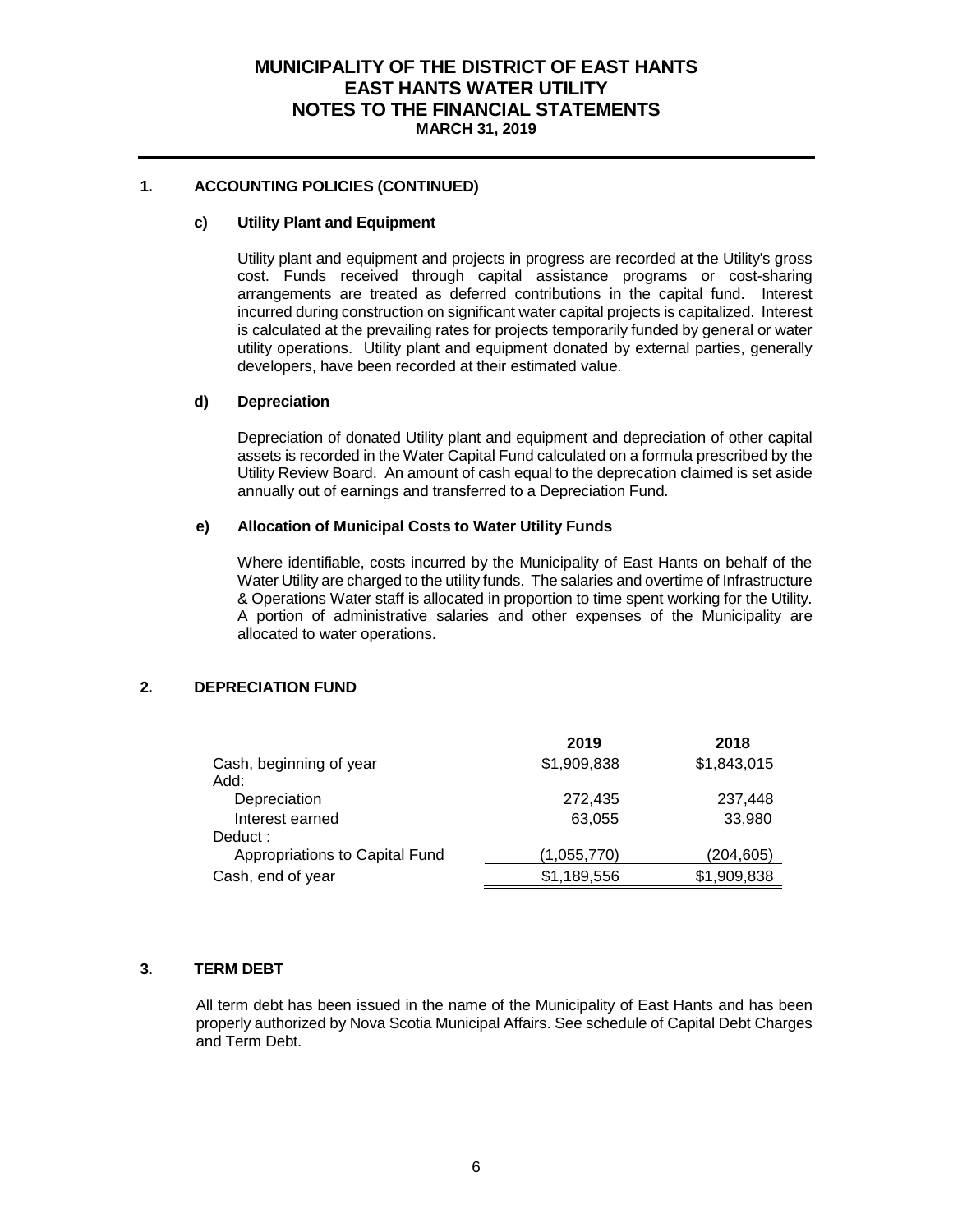#### **MUNICIPALITY OF THE DISTRICT OF EAST HANTS EAST HANTS WATER UTILITY NOTES TO THE FINANCIAL STATEMENTS MARCH 31, 2019**

#### **1. ACCOUNTING POLICIES (CONTINUED)**

#### **c) Utility Plant and Equipment**

Utility plant and equipment and projects in progress are recorded at the Utility's gross cost. Funds received through capital assistance programs or cost-sharing arrangements are treated as deferred contributions in the capital fund. Interest incurred during construction on significant water capital projects is capitalized. Interest is calculated at the prevailing rates for projects temporarily funded by general or water utility operations. Utility plant and equipment donated by external parties, generally developers, have been recorded at their estimated value.

#### **d) Depreciation**

Depreciation of donated Utility plant and equipment and depreciation of other capital assets is recorded in the Water Capital Fund calculated on a formula prescribed by the Utility Review Board. An amount of cash equal to the deprecation claimed is set aside annually out of earnings and transferred to a Depreciation Fund.

#### **e) Allocation of Municipal Costs to Water Utility Funds**

Where identifiable, costs incurred by the Municipality of East Hants on behalf of the Water Utility are charged to the utility funds. The salaries and overtime of Infrastructure & Operations Water staff is allocated in proportion to time spent working for the Utility. A portion of administrative salaries and other expenses of the Municipality are allocated to water operations.

#### **2. DEPRECIATION FUND**

|                                | 2019        | 2018        |
|--------------------------------|-------------|-------------|
| Cash, beginning of year        | \$1,909,838 | \$1,843,015 |
| Add:                           |             |             |
| Depreciation                   | 272.435     | 237,448     |
| Interest earned                | 63.055      | 33,980      |
| Deduct:                        |             |             |
| Appropriations to Capital Fund | (1,055,770) | (204, 605)  |
| Cash, end of year              | \$1,189,556 | \$1,909,838 |

#### **3. TERM DEBT**

All term debt has been issued in the name of the Municipality of East Hants and has been properly authorized by Nova Scotia Municipal Affairs. See schedule of Capital Debt Charges and Term Debt.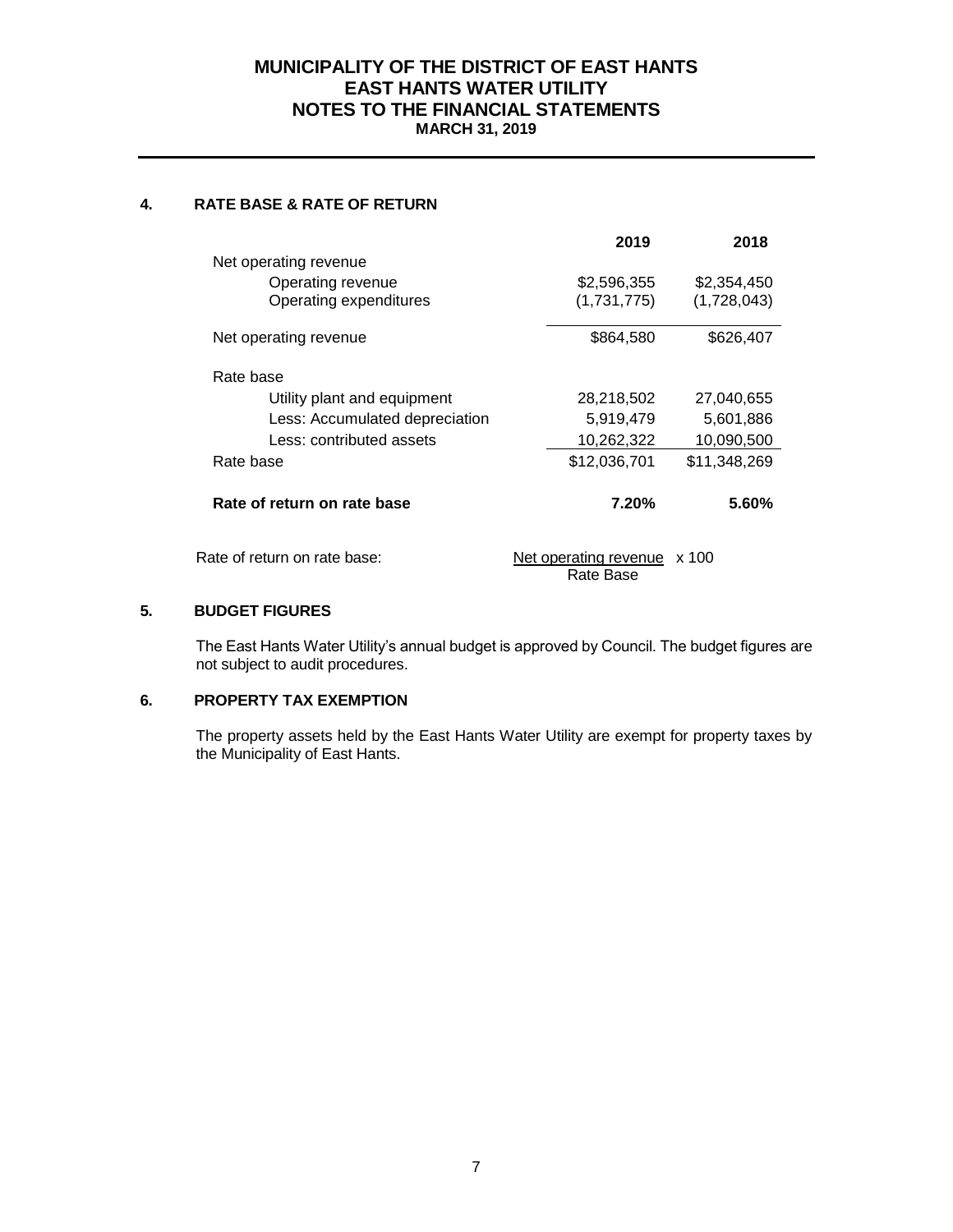#### **MUNICIPALITY OF THE DISTRICT OF EAST HANTS EAST HANTS WATER UTILITY NOTES TO THE FINANCIAL STATEMENTS MARCH 31, 2019**

#### **4. RATE BASE & RATE OF RETURN**

|                                | 2019                         | 2018         |
|--------------------------------|------------------------------|--------------|
| Net operating revenue          |                              |              |
| Operating revenue              | \$2,596,355                  | \$2,354,450  |
| Operating expenditures         | (1,731,775)                  | (1,728,043)  |
| Net operating revenue          | \$864,580                    | \$626,407    |
| Rate base                      |                              |              |
| Utility plant and equipment    | 28,218,502                   | 27,040,655   |
| Less: Accumulated depreciation | 5,919,479                    | 5,601,886    |
| Less: contributed assets       | 10,262,322                   | 10,090,500   |
| Rate base                      | \$12,036,701                 | \$11,348,269 |
| Rate of return on rate base    | 7.20%                        | 5.60%        |
| Rate of return on rate base:   | <u>Net operating revenue</u> | $\times$ 100 |

Rate Base

#### **5. BUDGET FIGURES**

The East Hants Water Utility's annual budget is approved by Council. The budget figures are not subject to audit procedures.

#### **6. PROPERTY TAX EXEMPTION**

The property assets held by the East Hants Water Utility are exempt for property taxes by the Municipality of East Hants.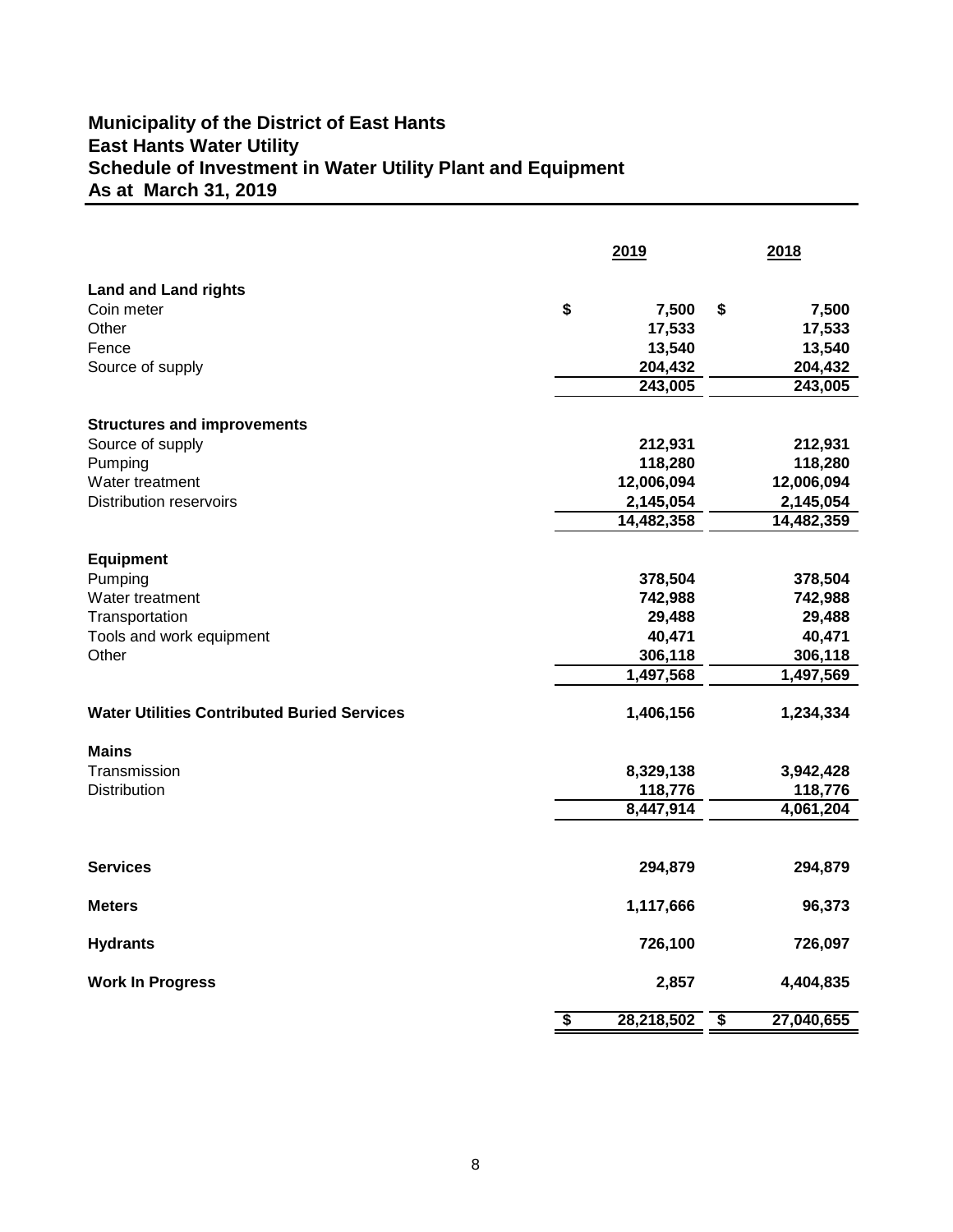# **Schedule of Investment in Water Utility Plant and Equipment Municipality of the District of East Hants East Hants Water Utility As at March 31, 2019**

|                                                    | 2019                                               | 2018             |  |
|----------------------------------------------------|----------------------------------------------------|------------------|--|
| <b>Land and Land rights</b>                        |                                                    |                  |  |
| Coin meter                                         | \$<br>7,500                                        | 7,500<br>\$      |  |
| Other                                              | 17,533                                             | 17,533           |  |
| Fence                                              | 13,540                                             | 13,540           |  |
| Source of supply                                   | 204,432                                            | 204,432          |  |
|                                                    | 243,005                                            | 243,005          |  |
| <b>Structures and improvements</b>                 |                                                    |                  |  |
| Source of supply                                   | 212,931                                            | 212,931          |  |
| Pumping                                            | 118,280                                            | 118,280          |  |
| Water treatment                                    | 12,006,094                                         | 12,006,094       |  |
| <b>Distribution reservoirs</b>                     | 2,145,054                                          | 2,145,054        |  |
|                                                    | 14,482,358                                         | 14,482,359       |  |
|                                                    |                                                    |                  |  |
| <b>Equipment</b>                                   |                                                    |                  |  |
| Pumping                                            | 378,504                                            | 378,504          |  |
| Water treatment                                    | 742,988                                            | 742,988          |  |
| Transportation                                     | 29,488                                             | 29,488           |  |
| Tools and work equipment                           | 40,471                                             | 40,471           |  |
| Other                                              | 306,118                                            | 306,118          |  |
|                                                    | 1,497,568                                          | 1,497,569        |  |
|                                                    |                                                    |                  |  |
| <b>Water Utilities Contributed Buried Services</b> | 1,406,156                                          | 1,234,334        |  |
| <b>Mains</b>                                       |                                                    |                  |  |
| Transmission                                       | 8,329,138                                          | 3,942,428        |  |
| <b>Distribution</b>                                | 118,776                                            | 118,776          |  |
|                                                    | 8,447,914                                          | 4,061,204        |  |
|                                                    |                                                    |                  |  |
| <b>Services</b>                                    | 294,879                                            | 294,879          |  |
| <b>Meters</b>                                      | 1,117,666                                          | 96,373           |  |
| <b>Hydrants</b>                                    | 726,100                                            | 726,097          |  |
| <b>Work In Progress</b>                            | 2,857                                              | 4,404,835        |  |
|                                                    | $\overline{\boldsymbol{\mathsf{s}}}$<br>28,218,502 | \$<br>27,040,655 |  |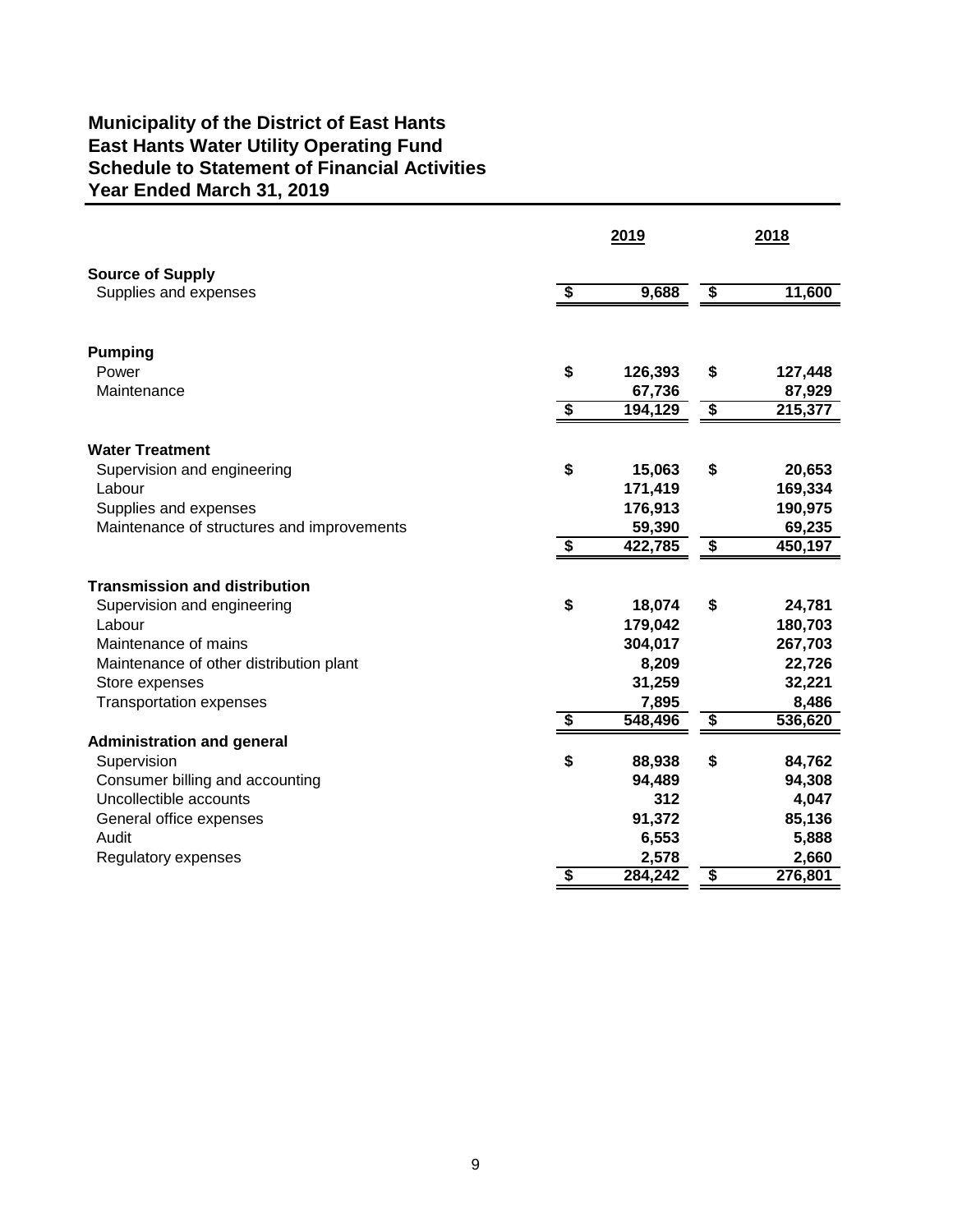# **Municipality of the District of East Hants East Hants Water Utility Operating Fund Schedule to Statement of Financial Activities Year Ended March 31, 2019**

|                                            |                         | 2019    | 2018                                 |         |  |
|--------------------------------------------|-------------------------|---------|--------------------------------------|---------|--|
| <b>Source of Supply</b>                    |                         |         |                                      |         |  |
| Supplies and expenses                      | \$                      | 9,688   | $\overline{\mathbf{3}}$              | 11,600  |  |
| <b>Pumping</b>                             |                         |         |                                      |         |  |
| Power                                      | \$                      | 126,393 | \$                                   | 127,448 |  |
| Maintenance                                |                         | 67,736  |                                      | 87,929  |  |
|                                            | \$                      | 194,129 | $\overline{\boldsymbol{\mathsf{s}}}$ | 215,377 |  |
| <b>Water Treatment</b>                     |                         |         |                                      |         |  |
| Supervision and engineering                | \$                      | 15,063  | \$                                   | 20,653  |  |
| Labour                                     |                         | 171,419 |                                      | 169,334 |  |
| Supplies and expenses                      |                         | 176,913 |                                      | 190,975 |  |
| Maintenance of structures and improvements |                         | 59,390  |                                      | 69,235  |  |
|                                            | \$                      | 422,785 | \$                                   | 450,197 |  |
| <b>Transmission and distribution</b>       |                         |         |                                      |         |  |
| Supervision and engineering                | \$                      | 18,074  | \$                                   | 24,781  |  |
| Labour                                     |                         | 179,042 |                                      | 180,703 |  |
| Maintenance of mains                       |                         | 304,017 |                                      | 267,703 |  |
| Maintenance of other distribution plant    |                         | 8,209   |                                      | 22,726  |  |
| Store expenses                             |                         | 31,259  |                                      | 32,221  |  |
| <b>Transportation expenses</b>             |                         | 7,895   |                                      | 8,486   |  |
|                                            | \$                      | 548,496 | \$                                   | 536,620 |  |
| <b>Administration and general</b>          |                         |         |                                      |         |  |
| Supervision                                | \$                      | 88,938  | \$                                   | 84,762  |  |
| Consumer billing and accounting            |                         | 94,489  |                                      | 94,308  |  |
| Uncollectible accounts                     |                         | 312     |                                      | 4,047   |  |
| General office expenses                    |                         | 91,372  |                                      | 85,136  |  |
| Audit                                      |                         | 6,553   |                                      | 5,888   |  |
| Regulatory expenses                        |                         | 2,578   |                                      | 2,660   |  |
|                                            | $\overline{\mathbf{s}}$ | 284,242 | $\overline{\boldsymbol{\mathsf{s}}}$ | 276,801 |  |